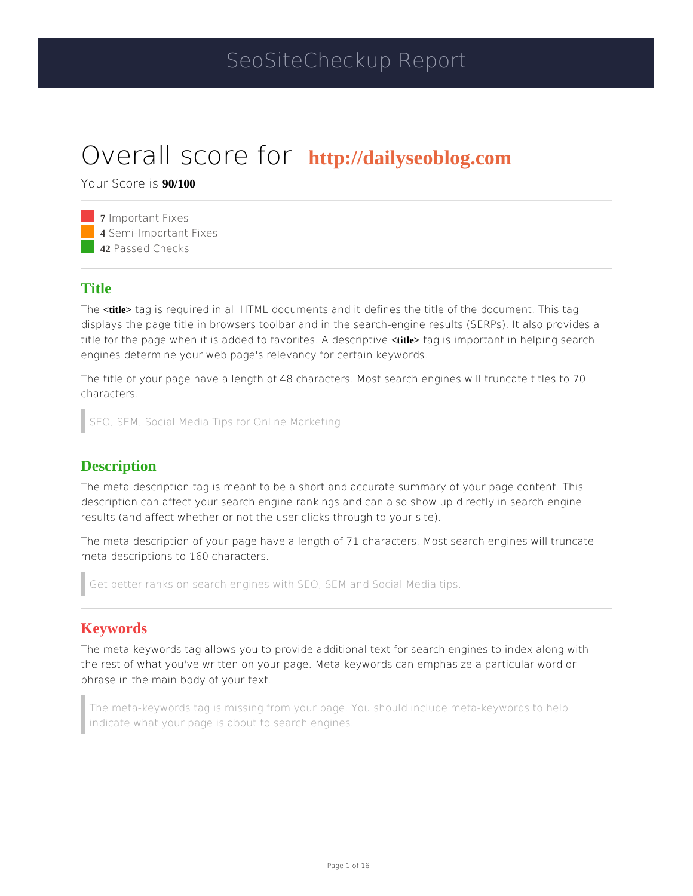# SeoSiteCheckup Report

# Overall scorbttp://dailyseoblog.com

Your Scor<sup>949/11030</sup>

**7** Important Fixes **4 Semi-Important Fixes** 42 Passed Checks

#### Title

The title> tag is required in all HTML documents and it defines the title of the docume displays the page title in browsers toolbar and in the search-engine results (SERPs). title for the page when it is added to favordttles. tagdess compointant in helping search engines determine your web page's relevancy for certain keywords.

The title of your page have a length of 48 characters. Most search engines will trun characters.

SEO, SEM, Social Media Tips for Online Marketing

#### **Description**

The meta description tag is meant to be a short and accurate summary of your page description can affect your search engine rankings and can also show up directly in results (and affect whether or not the user clicks through to your site).

The meta description of your page have a length of 71 characters. Most search engi meta descriptions to 160 characters.

Get better ranks on search engines with SEO, SEM and Social Media tips.

#### Keywords

The meta keywords tag allows you to provide additional text for search engines to i the rest of what you've written on your page. Meta keywords can emphasize a partic phrase in the main body of your text.

The meta-keywords tag is missing from your page. You should include meta-keywor indicate what your page is about to search engines.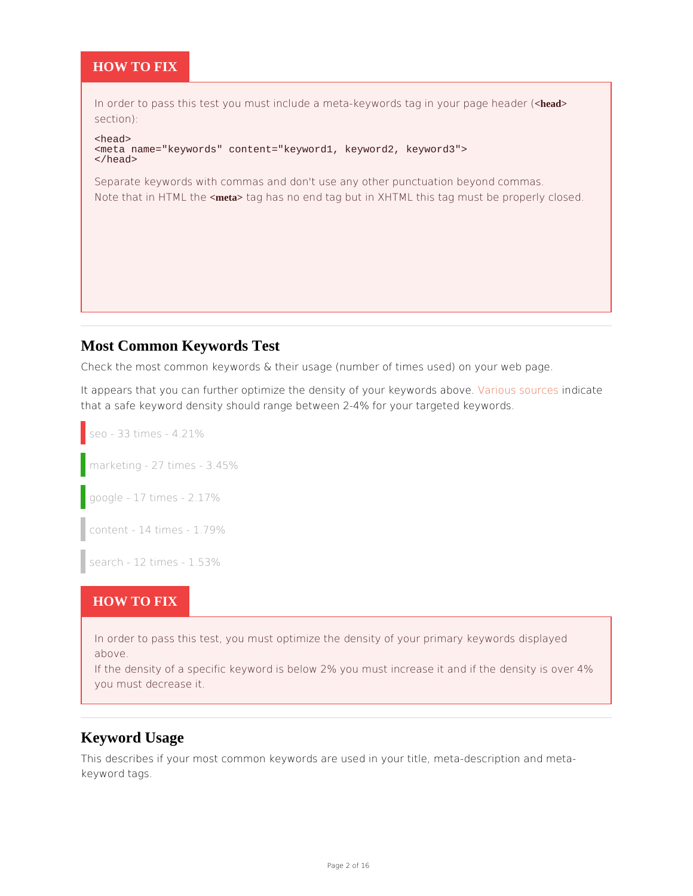#### HOW TO FIX

In order to pass this test you must include a meta-keywords dhængdin your page head section): <head> <meta name="keywords" content="keyword1, keyword2, keyword3"> </head> Separate keywords with commas and don't use any other punctuation beyond comm Note that in HTM the take areas has no end tag but in XHTML this tag must be properly cl

## Most Common Keywords Test

Check the most common keywords & their usage (number of times used) on your web

It appears that you can further optimize the density of your bukeys world bis above. that a safe keyword density should range between 2-4% for your targeted keywords.

seo - 33 times - 4.21% marketing - 27 times - 3.45% google - 17 times - 2.17% content - 14 times - 1.79% search - 12 times - 1.53%

#### HOW TO FIX

In order to pass this test, you must optimize the density of your primary keywords above. If the density of a specific keyword is below 2% you must increase4 $\mathcal{H}$  and if the density of a specific keyword is below 2% you must increase4 $\mathcal{H}$  and if the density of a specific keyword is below 2% you must inc you must decrease it.

#### Keyword Usage

This describes if your most common keywords are used in your title, meta-description keyword tags.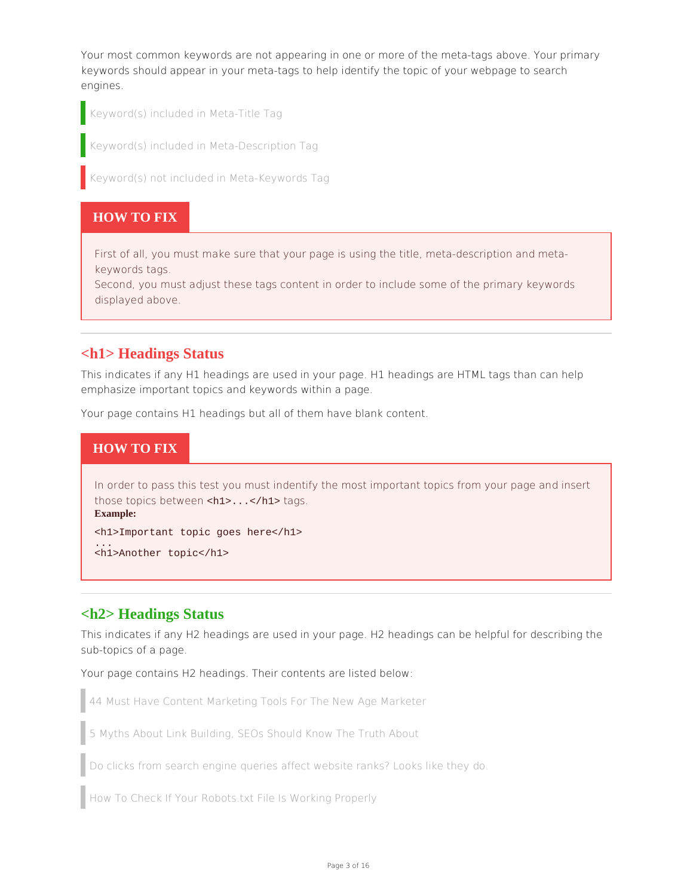Your most common keywords are not appearing in one or more of the meta-tags above. Your primary keywords should appear in your meta-tags to help identify the topic of your webpage to search engines.

Keyword(s) included in Meta-Title Tag

Keyword(s) included in Meta-Description Tag

Keyword(s) not included in Meta-Keywords Tag

#### **HOW TO FIX**

First of all, you must make sure that your page is using the title, meta-description and metakeywords tags.

Second, you must adjust these tags content in order to include some of the primary keywords displayed above.

#### **<h1> Headings Status**

This indicates if any H1 headings are used in your page. H1 headings are HTML tags than can help emphasize important topics and keywords within a page.

Your page contains H1 headings but all of them have blank content.

## **HOW TO FIX**

In order to pass this test you must indentify the most important topics from your page and insert those topics between <h1>...</h1> tags. **Example:**

<h1>Important topic goes here</h1> ...

<h1>Another topic</h1>

#### **<h2> Headings Status**

This indicates if any H2 headings are used in your page. H2 headings can be helpful for describing the sub-topics of a page.

Your page contains H2 headings. Their contents are listed below:

44 Must Have Content Marketing Tools For The New Age Marketer

5 Myths About Link Building, SEOs Should Know The Truth About

Do clicks from search engine queries affect website ranks? Looks like they do.

How To Check If Your Robots.txt File Is Working Properly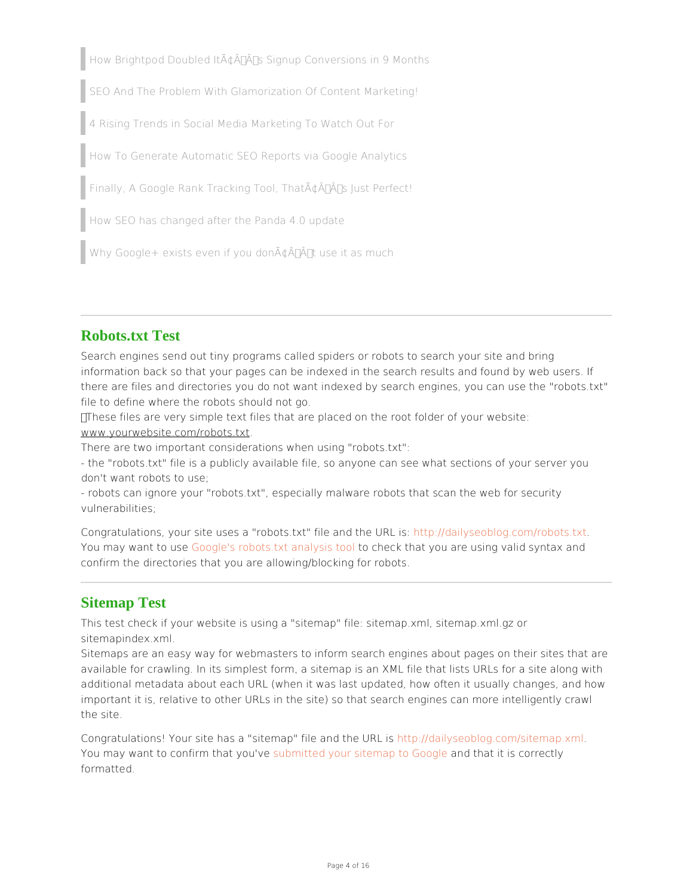How Brightpod Doubled It $\tilde{A} \notin \hat{A} \in \hat{A}^{\text{TM}}$ s Signup Conversions in 9 Months SEO And The Problem With Glamorization Of Content Marketing! 4 Rising Trends in Social Media Marketing To Watch Out For How To Generate Automatic SEO Reports via Google Analytics Finally, A Google Rank Tracking Tool, That $\tilde{A} \notin \hat{A}$ <sup>TM</sup>s Just Perfect! How SEO has changed after the Panda 4.0 update Why Google+ exists even if you don $\tilde{A} \notin \hat{A}^{\pi}$  tuse it as much

## Robots.txt Test

Search engines send out tiny programs called spiders or robots to search your site information back so that your pages can be indexed in the search results and found there are files and directories you do not want indexed by search engines, you can file to define where the robots should not go.

These files are very simple text files that are placed on the root folder of your web www.yourwebsite.com/robots.txt

There are two important considerations when using "robots.txt":

- the "robots.txt" file is a publicly available file, so anyone can see what sections o don't want robots to use;

- robots can ignore your "robots.txt", especially malware robots that scan the web f vulnerabilities;

Congratulations, your site uses a "robots.txt" http://www.idhyseoublog.com/robots.txt You may want to ausgele's robots.txt anatos chatchlithat you are using valid syntax and confirm the directories that you are allowing/blocking for robots.

## Sitemap Test

This test check if your website is using a "sitemap" file: sitemap.xml, sitemap.xml.g sitemapindex.xml.

Sitemaps are an easy way for webmasters to inform search engines abaue pages on available for crawling. In its simplest form, a sitemap is an XML file that lists URLs additional metadata about each URL (when it was last updated, how often it usually important it is, relative to other URLs in the site) so that search engines can more the site.

Congratulations! Your site has a "sitemap" hittepa/nidatihyesbloraldig.com/sitemap.xml You may want to confirm the auto you dutie of your sitemap to nodo that it is correctly formatted.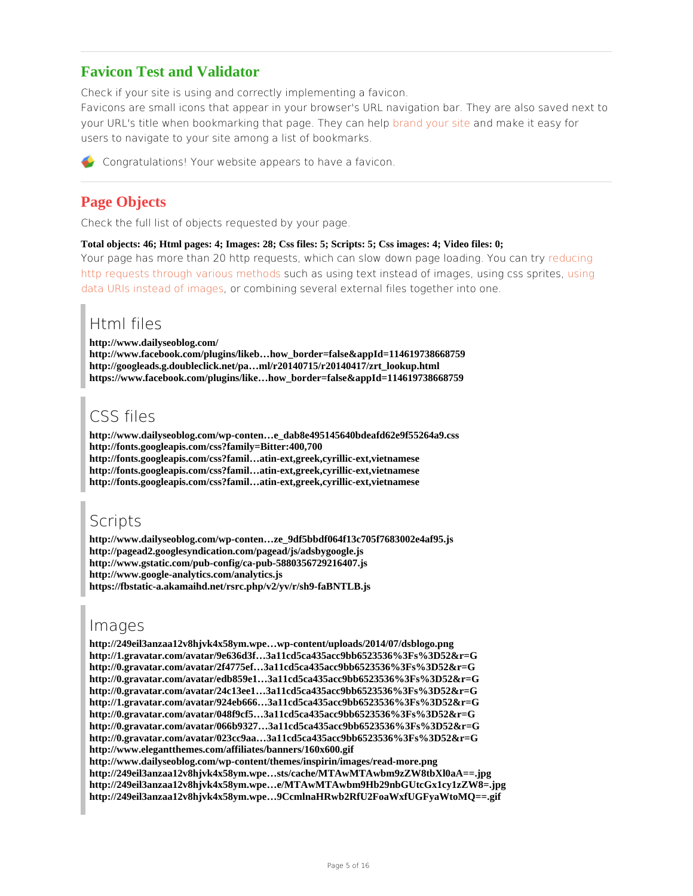## Favicon Test and Validator

Check if your site is using and correctly implementing a favicon. Favicons are small icons that appear in your browser's URL navigation toar. They are your URL's title when bookmarking that pag<mark>ber.añ dieyyo canainheel</mark>mpake it easy for users to navigate to your site among a list of bookmarks.

Congratulations! Your website appears to have a favicon.

## Page Objects

Check the full list of objects requested by your page.

Total objects: 46; Html pages: 4; Images: 28; Css files: 5; Scripts: 5; Css images: 4; Video files: 0;

Your page has more than 20 http requests, which can slow down readguecilrogading. You o [http requests through vario](http://developer.yahoo.com/performance/rules.html)us umone thas dussing text instead of images, uussimng css sprites, [data URIs instead o](http://css-tricks.com/5970-data-uris/)f om acontentining several external files to gether into one.

## Html files

http://www.dailyseoblog.com/ http://www.facebook.com/plugins/likeb…how\_border=false&appId=114619738668759 http://googleads.g.doubleclick.net/pa…ml/r20140715/r20140417/zrt\_lookup.html https://www.facebook.com/plugins/like…how\_border=false&appId=114619738668759

# CSS files

http://www.dailyseoblog.com/wp-conten…e\_dab8e495145640bdeafd62e9f55264a9.css http://fonts.googleapis.com/css?family=Bitter:400,700 http://fonts.googleapis.com/css?famil…atin-ext,greek,cyrillic-ext,vietnamese http://fonts.googleapis.com/css?famil…atin-ext,greek,cyrillic-ext,vietnamese http://fonts.googleapis.com/css?famil…atin-ext,greek,cyrillic-ext,vietnamese

# Scripts

http://www.dailyseoblog.com/wp-conten…ze\_9df5bbdf064f13c705f7683002e4af95.js http://pagead2.googlesyndication.com/pagead/js/adsbygoogle.js http://www.gstatic.com/pub-config/ca-pub-5880356729216407.js http://www.google-analytics.com/analytics.js https://fbstatic-a.akamaihd.net/rsrc.php/v2/yv/r/sh9-faBNTLB.js

# Images

http://249eil3anzaa12v8hjvk4x58ym.wpe…wp-content/uploads/2014/07/dsblogo.png http://1.gravatar.com/avatar/9e636d3f…3a11cd5ca435acc9bb6523536%3Fs%3D52&r=G http://0.gravatar.com/avatar/2f4775ef…3a11cd5ca435acc9bb6523536%3Fs%3D52&r=G http://0.gravatar.com/avatar/edb859e1…3a11cd5ca435acc9bb6523536%3Fs%3D52&r=G http://0.gravatar.com/avatar/24c13ee1…3a11cd5ca435acc9bb6523536%3Fs%3D52&r=G http://1.gravatar.com/avatar/924eb666…3a11cd5ca435acc9bb6523536%3Fs%3D52&r=G http://0.gravatar.com/avatar/048f9cf5…3a11cd5ca435acc9bb6523536%3Fs%3D52&r=G http://0.gravatar.com/avatar/066b9327…3a11cd5ca435acc9bb6523536%3Fs%3D52&r=G http://0.gravatar.com/avatar/023cc9aa…3a11cd5ca435acc9bb6523536%3Fs%3D52&r=G http://www.elegantthemes.com/affiliates/banners/160x600.gif http://www.dailyseoblog.com/wp-content/themes/inspirin/images/read-more.png http://249eil3anzaa12v8hjvk4x58ym.wpe…sts/cache/MTAwMTAwbm9zZW8tbXl0aA==.jpg http://249eil3anzaa12v8hjvk4x58ym.wpe…e/MTAwMTAwbm9Hb29nbGUtcGx1cy1zZW8=.jpg http://249eil3anzaa12v8hjvk4x58ym.wpe…9CcmlnaHRwb2RfU2FoaWxfUGFyaWtoMQ==.gif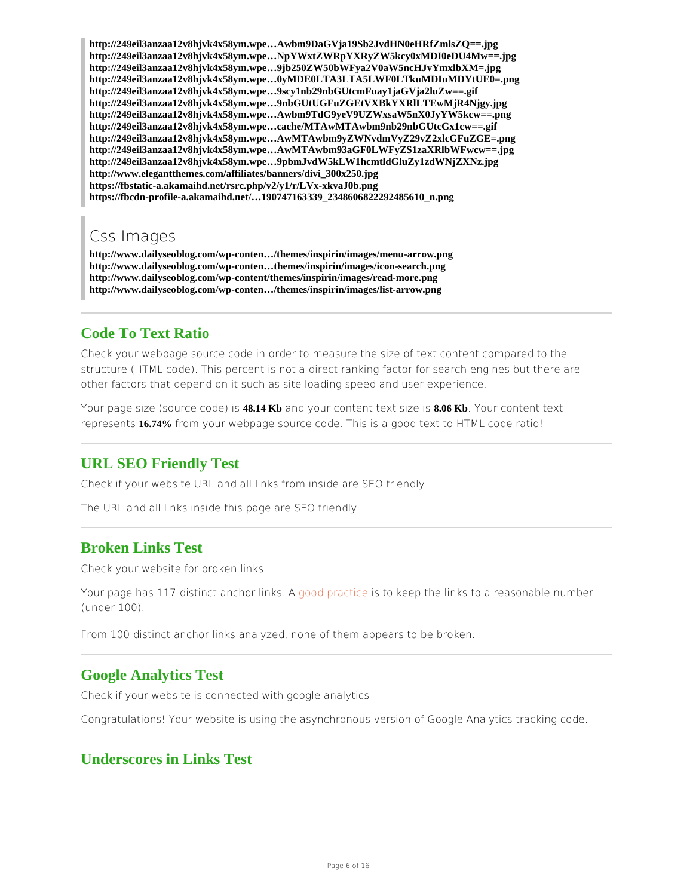http://249eil3anzaa12v8hjvk4x58ym.wpe…Awbm9DaGVja19Sb2JvdHN0eHRfZmlsZQ==.jpg http://249eil3anzaa12v8hjvk4x58ym.wpe…NpYWxtZWRpYXRyZW5kcy0xMDI0eDU4Mw==.jpg http://249eil3anzaa12v8hjvk4x58ym.wpe…9jb250ZW50bWFya2V0aW5ncHJvYmxlbXM=.jpg http://249eil3anzaa12v8hjvk4x58ym.wpe…0yMDE0LTA3LTA5LWF0LTkuMDIuMDYtUE0=.png http://249eil3anzaa12v8hjvk4x58ym.wpe…9scy1nb29nbGUtcmFuay1jaGVja2luZw==.gif http://249eil3anzaa12v8hjvk4x58ym.wpe…9nbGUtUGFuZGEtVXBkYXRlLTEwMjR4Njgy.jpg http://249eil3anzaa12v8hjvk4x58ym.wpe…Awbm9TdG9yeV9UZWxsaW5nX0JyYW5kcw==.png http://249eil3anzaa12v8hjvk4x58ym.wpe…cache/MTAwMTAwbm9nb29nbGUtcGx1cw==.gif http://249eil3anzaa12v8hjvk4x58ym.wpe…AwMTAwbm9yZWNvdmVyZ29vZ2xlcGFuZGE=.png http://249eil3anzaa12v8hjvk4x58ym.wpe…AwMTAwbm93aGF0LWFyZS1zaXRlbWFwcw==.jpg http://249eil3anzaa12v8hjvk4x58ym.wpe…9pbmJvdW5kLW1hcmtldGluZy1zdWNjZXNz.jpg http://www.elegantthemes.com/affiliates/banners/divi\_300x250.jpg https://fbstatic-a.akamaihd.net/rsrc.php/v2/y1/r/LVx-xkvaJ0b.png https://fbcdn-profile-a.akamaihd.net/…190747163339\_2348606822292485610\_n.png

## Css Images

http://www.dailyseoblog.com/wp-conten…/themes/inspirin/images/menu-arrow.png http://www.dailyseoblog.com/wp-conten…themes/inspirin/images/icon-search.png http://www.dailyseoblog.com/wp-content/themes/inspirin/images/read-more.png http://www.dailyseoblog.com/wp-conten…/themes/inspirin/images/list-arrow.png

## Code To Text Ratio

Check your webpage source code in order to measure the size of text content compa structure (HTML code). This percent is not a direct ranking factor for search engine other factors that depend on it such as site loading speed and user experience.

Your page size (sourc 48.d 6 Kb and your content text 06 Kb a Your content text represen6.374% from your webpage source code. This is a good text to HTML code ration

#### URL SEO Friendly Test

Check if your website URL and all links from inside are SEO friendly

The URL and all links inside this page are SEO friendly

#### Broken Links Test

Check your website for broken links

Your page has 117 distinct an<mark>glood links tins</mark> eto keep the links to a reasonable number (under 100).

From 100 distinct anchor links analyzed, none of them appears to be broken.

#### Google Analytics Test

Check if your website is connected with google analytics

Congratulations! Your website is using the asynchronous version of Google Analytic

#### Underscores in Links Test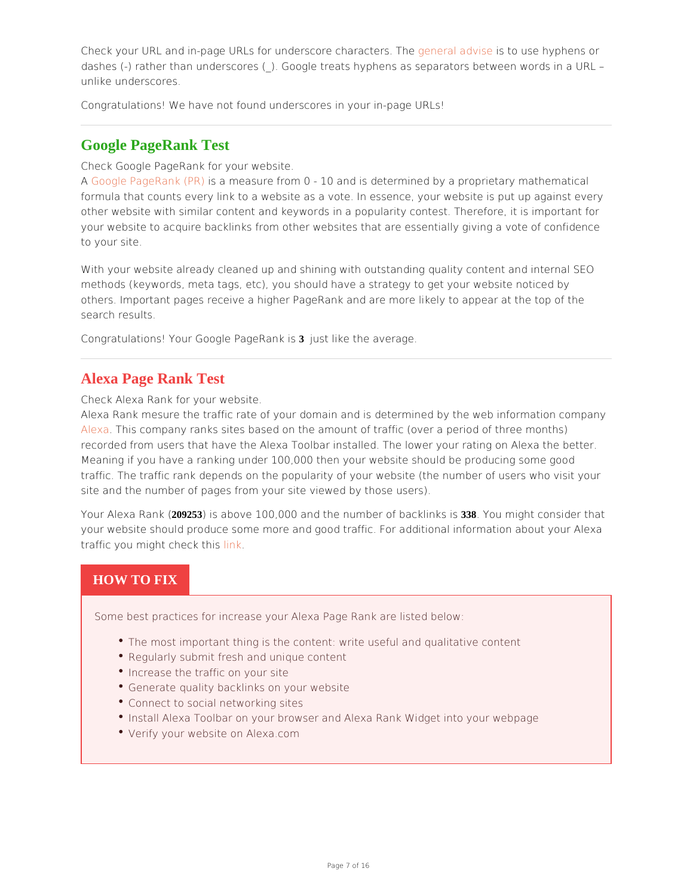Check your URL and in-page URLs for underscogreen chaalrandteensseto. Tubesee hyphens or dashes (-) rather than underscores (\_). Google treats hyphens as separators betwee unlike underscores.

Congratulations! We have not found underscores in your in-page URLs!

#### Google PageRank Test

Check Google PageRank for your website.

A [Google PageRan](http://seositecheckup.com/articles/26)ks (R Rm) easure from 0 - 10 and is determined by a proprietary mathe formula that counts every link to a website as a vote. In essence, your website is p other website with similar content and keywords in a popularity contest. Therefore, your website to acquire backlinks from other websites that are essentially giving a to your site.

With your website already cleaned up and shining with outstanding quality content a methods (keywords, meta tags, etc), you should have a strategy to get your website others. Important pages receive a higher PageRank and are more likely to appear at search results.

Congratulations! Your Google  $\mathcal P$  age Rhank is average.

## Alexa Page Rank Test

Check Alexa Rank for your website.

Alexa Rank mesure the traffic rate of your domain and is determineed mapyant be web info [Alex](http://www.alexa.com)aThis company ranks sites based on the amount of traffic (over a period of thre recorded from users that have the Alexa Toolbar installed. The lower your rating on Meaning if you have a ranking under 100,000 then your website should be producing traffic. The traffic rank depends on the popularity of your website (the number of us site and the number of pages from your site viewed by those users).

Your Alexa R2@9253)( is above 100,000 and the number 3638.bacollimikgshits consider that your website should produce some more and good traffic. For additional information traffic you might cheink this

#### HOW TO FIX

Some best practices for increase your Alexa Page Rank are listed below:

- \* The most important thing is the content: write useful and qualitative content
- Regularly submit fresh and unique content
- Increase the traffic on your site
- Generate quality backlinks on your website
- Connect to social networking sites
- $^\bullet$  Install Alexa Toolbar on your browser and Alexa Rank Widget into your webpa
- Verify your website on Alexa.com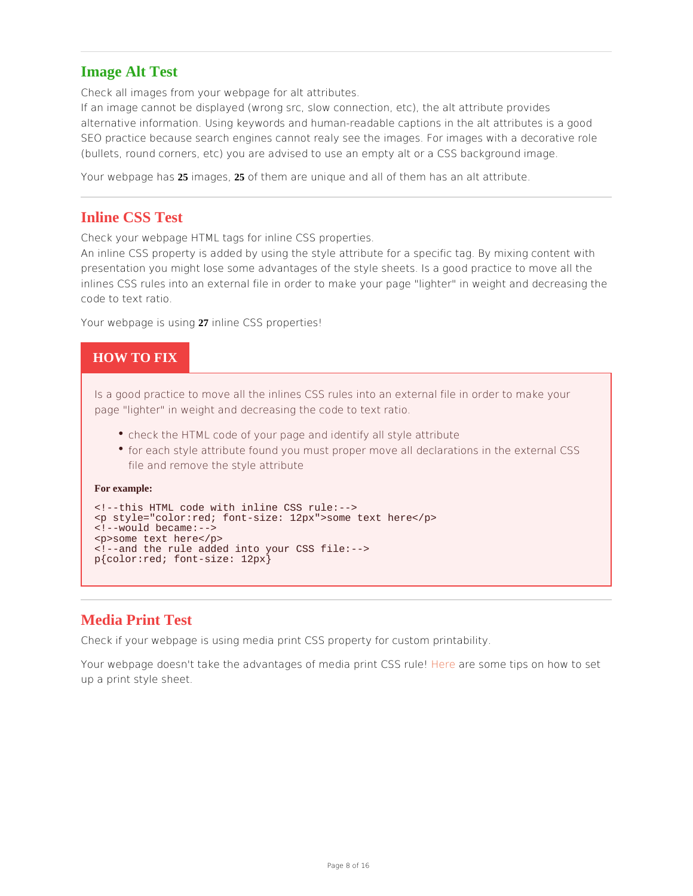#### Image Alt Test

Check all images from your webpage for alt attributes.

If an image cannot be displayed (wrong src, slow connection, etc), the alt attribute alternative information. Using keywords and human-readable captions in the alt attr SEO practice because search engines cannot realy see the images. For images with (bullets, round corners, etc) you are advised to use an empty alt or a CSS backgrou

Your webpage25 hams age 25, of them are unique and all of them has an alt attribute.

## Inline CSS Test

Check your webpage HTML tags for inline CSS properties.

An inline CSS property is added by using the style attribute for a specific tag. By m presentation you might lose some advantages of the style sheets. Is a good practice inlines CSS rules into an external file in order to make your page "lighter" in weigh code to text ratio.

Your webpage is 27 u shinlight CSS properties!

## HOW TO FIX

Is a good practice to move all the inlines CSS rules into an external file in order page "lighter" in weight and decreasing the code to text ratio.

- check the HTML code of your page and identify all style attribute
- for each style attribute found you must proper move all declarations in the external  $\sim$ file and remove the style attribute

For example:

<!--this HTML code with inline CSS rule:--> <p style="color:red; font-size: 12px">some text here</p> <!--would became:--> <p>some text here</p> <!--and the rule added into your CSS file:--> p{color:red; font-size: 12px}

## Media Print Test

Check if your webpage is using media print CSS property for custom printability.

Your webpage doesn't take the advantages of medde aeprens o Grees tips se on how to set up a print style sheet.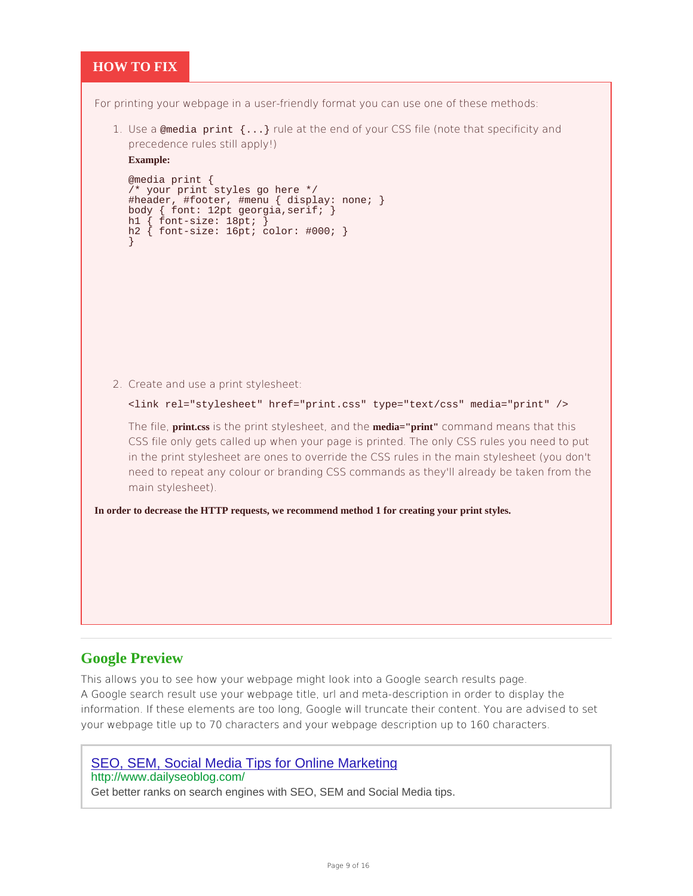#### **HOW TO FIX**

For printing your webpage in a user-friendly format you can use one of these methods:

1. Use a @media print  $\{ \ldots \}$  rule at the end of your CSS file (note that specificity and precedence rules still apply!)

#### **Example:**

```
@media print { 
 	/* your print styles go here */
 	#header, #footer, #menu { display: none; } 
	body { font: 12pt georgia,serif; } 
h1 { font-size: 18pt; }
	h2 { font-size: 16pt; color: #000; }
}
```
2. Create and use a print stylesheet:

```
<link rel="stylesheet" href="print.css" type="text/css" media="print" />
```
The file, **print.css** is the print stylesheet, and the **media="print"** command means that this CSS file only gets called up when your page is printed. The only CSS rules you need to put in the print stylesheet are ones to override the CSS rules in the main stylesheet (you don't need to repeat any colour or branding CSS commands as they'll already be taken from the main stylesheet).

**In order to decrease the HTTP requests, we recommend method 1 for creating your print styles.**

## **Google Preview**

This allows you to see how your webpage might look into a Google search results page. A Google search result use your webpage title, url and meta-description in order to display the information. If these elements are too long, Google will truncate their content. You are advised to set your webpage title up to 70 characters and your webpage description up to 160 characters.

## SEO, SEM, Social Media Tips for Online Marketing

#### http://www.dailyseoblog.com/

Get better ranks on search engines with SEO, SEM and Social Media tips.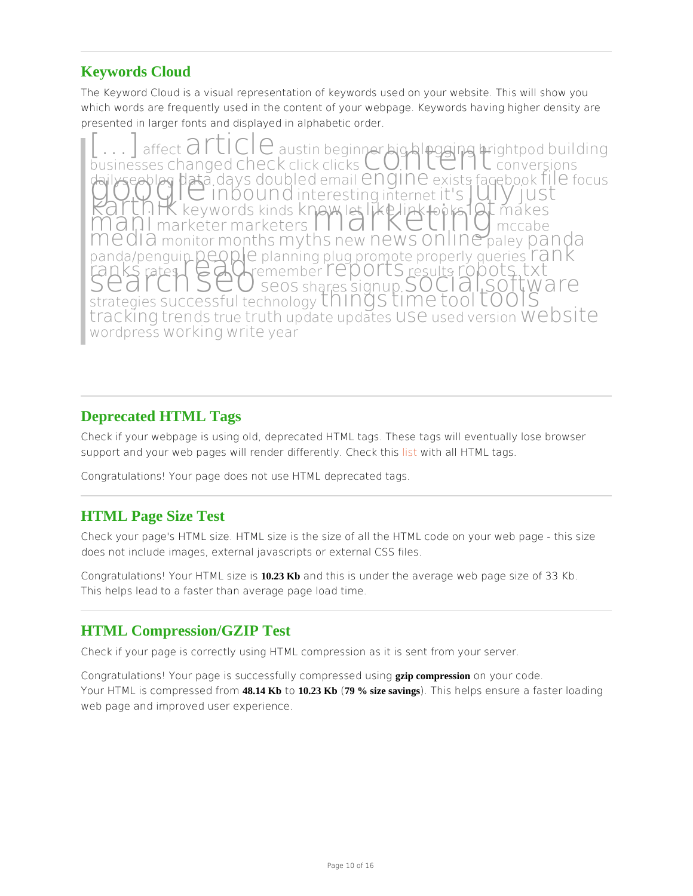## Keywords Cloud

The Keyword Cloud is a visual representation of keywords used on your website. Th which words are frequently used in the content of your webpage. Keywords having h presented in larger fonts and displayed in alphabetic order.

e c**icl 「II CaluG**tibne gin**ne** bigblogging bigging hip boutilding<br>cebsangecche coklicklicksC OD hi<sup>gh</sup>ed dankersions  $b$ usines $s$ cehsangeodheckklicks $\cup$ daji vse obdogtali a v sloubleedna i en grine Gistface bodikileocus<br>Karth Hefy wordsnak na weakik deilp kook forma koos<br>Mannarke tenrarke tensal darket KC tilm dick gemeeting<br>Mannarke tenrarke tensal darket in medinale pan  $p$  and a/peng $p$   $q$   $q$   $p$   $q$  $q$   $a$  n ning  $q$  u  $q$  romoteroper  $q$  yueries  $a$  n  $K$ ranks tes<sup>r</sup>es di Gmember e porte sults bots.txt<br>Se a results beosharesignus ocial di tware strategiseus ccesstfeudhnologn In ot Sm @ool OOIS tracking mendtsu druthpdatepdatels Sesse dersio Website wordprewsorkinwgriteear

## Deprecated HTML Tags

Check if your webpage is using old, deprecated HTML tags. These tags will eventua support and your web pages will render diffelmently. Elhe the TM hisags.

Congratulations! Your page does not use HTML deprecated tags.

## HTML Page Size Test

Check your page's HTML size. HTML size is the size of all the HTML code on your w does not include images, external javascripts or external CSS files.

Congratulations! Your HTIM23 Kb zandsthis is under the average web page size of 33 Kb This helps lead to a faster than average page load time.

#### HTML Compression/GZIP Test

Check if your page is correctly using HTML compression as it is sent from your serv

Congratulations! Your page is successfully gzip comppresssionendo nu syion ugroede. Your HTML is compres 488e1d4 Krbroton 0.23 Kb 79 % size savings). This helps ensure a faster loading web page and improved user experience.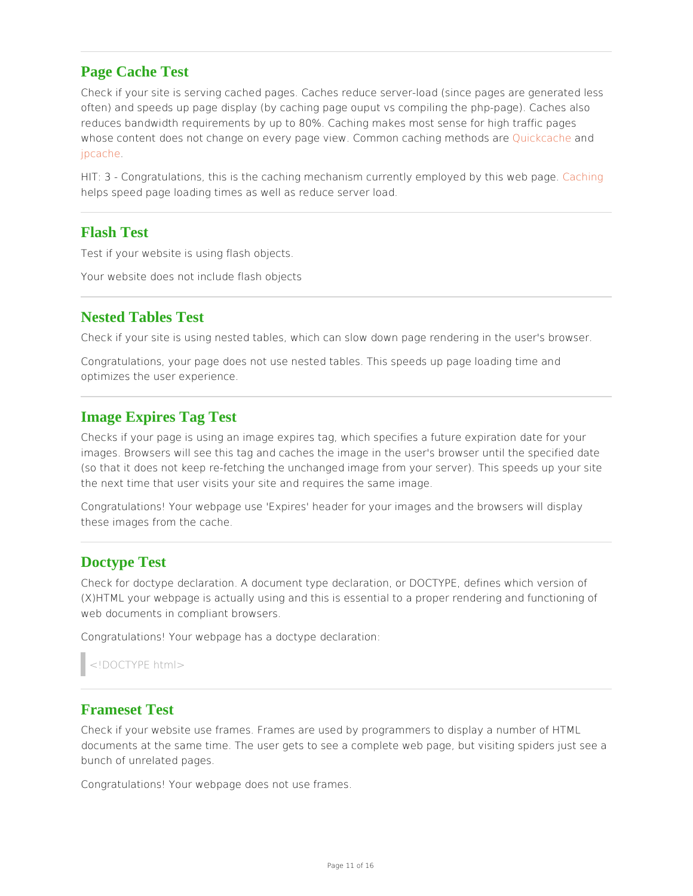#### Page Cache Test

Check if your site is serving cached pages. Caches reduce server-load (since pages often) and speeds up page display (by caching page ouput vs compiling the php-pag reduces bandwidth requirements by up to 80%. Caching makes most sense for high t whose content does not change on every page view. Common calciacolo methods are [jpcac](http://www.polarlava.com/projects/jpcache/)he .

HIT: 3 - Congratulations, this is the caching mechanism currently  $\epsilon$  monoged by this helps speed page loading times as well as reduce server load.

## Flash Test

Test if your website is using flash objects.

Your website does not include flash objects

### Nested Tables Test

Check if your site is using nested tables, which can slow down page rendering in th

Congratulations, your page does not use nested tables. This speeds up page loading optimizes the user experience.

#### Image Expires Tag Test

Checks if your page is using an image expires tag, which specifies a future expiration images. Browsers will see this tag and caches the image in the user's browser until (so that it does not keep re-fetching the unchanged image from your server). This s the next time that user visits your site and requires the same image.

Congratulations! Your webpage use 'Expires' header for your images and the browse these images from the cache.

#### Doctype Test

Check for doctype declaration. A document type declaration, or DOCTYPE, defines v  $(X)$ HTML your webpage is actually using and this is essential to a proper rendering web documents in compliant browsers.

Congratulations! Your webpage has a doctype declaration:

<!DOCTYPE html>

#### Frameset Test

Check if your website use frames. Frames are used by programmers to display a nur documents at the same time. The user gets to see a complete web page, but visiting bunch of unrelated pages.

Congratulations! Your webpage does not use frames.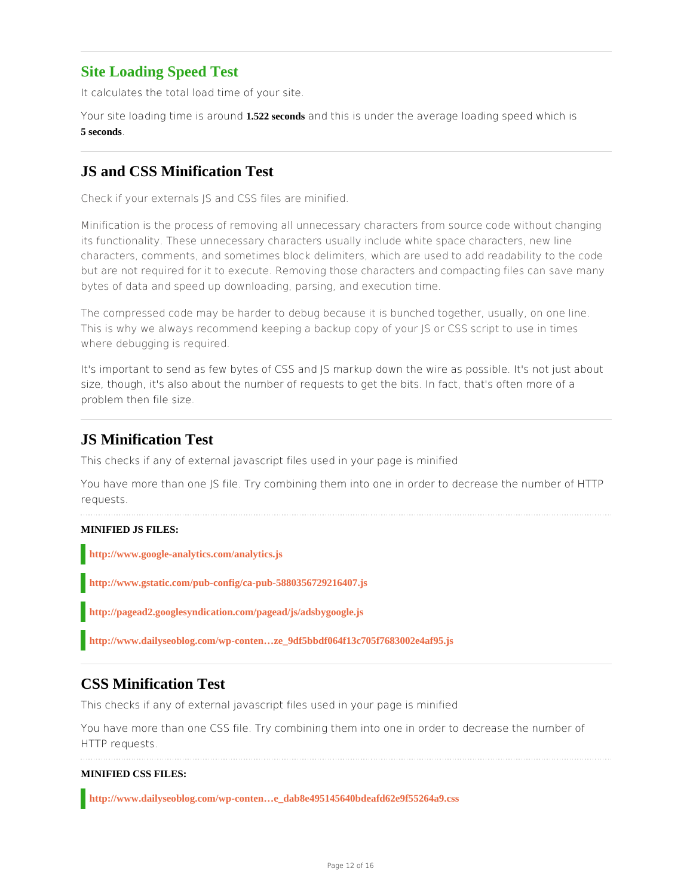## **Site Loading Speed Test**

It calculates the total load time of your site.

Your site loading time is around **1.522 seconds** and this is under the average loading speed which is **5 seconds**.

## **JS and CSS Minification Test**

Check if your externals JS and CSS files are minified.

Minification is the process of removing all unnecessary characters from source code without changing its functionality. These unnecessary characters usually include white space characters, new line characters, comments, and sometimes block delimiters, which are used to add readability to the code but are not required for it to execute. Removing those characters and compacting files can save many bytes of data and speed up downloading, parsing, and execution time.

The compressed code may be harder to debug because it is bunched together, usually, on one line. This is why we always recommend keeping a backup copy of your JS or CSS script to use in times where debugging is required.

It's important to send as few bytes of CSS and IS markup down the wire as possible. It's not just about size, though, it's also about the number of requests to get the bits. In fact, that's often more of a problem then file size.

## **JS Minification Test**

This checks if any of external javascript files used in your page is minified

You have more than one JS file. Try combining them into one in order to decrease the number of HTTP requests.

#### **MINIFIED JS FILES:**

**http://www.google-analytics.com/analytics.js**

**http://www.gstatic.com/pub-config/ca-pub-5880356729216407.js**

**http://pagead2.googlesyndication.com/pagead/js/adsbygoogle.js**

**http://www.dailyseoblog.com/wp-conten…ze\_9df5bbdf064f13c705f7683002e4af95.js**

## **CSS Minification Test**

This checks if any of external javascript files used in your page is minified

You have more than one CSS file. Try combining them into one in order to decrease the number of HTTP requests.

#### **MINIFIED CSS FILES:**

**http://www.dailyseoblog.com/wp-conten…e\_dab8e495145640bdeafd62e9f55264a9.css**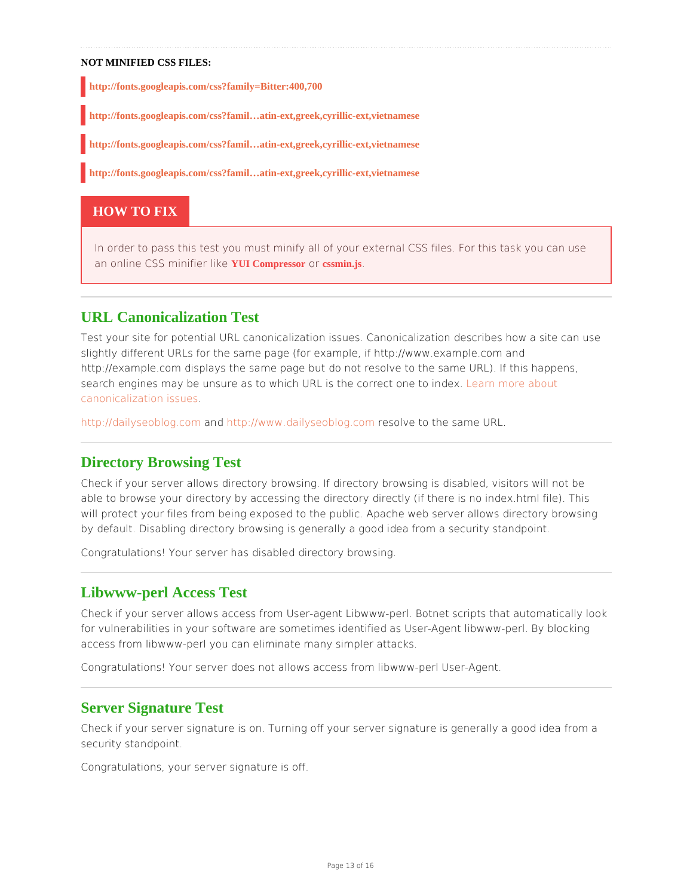#### NOT MINIFIED CSS FILES:

http://fonts.googleapis.com/css?family=Bitter:400,700

http://fonts.googleapis.com/css?famil...atin-ext,greek,cyrillic-ext,vietnamese

http://fonts.googleapis.com/css?famil…atin-ext,greek,cyrillic-ext,vietnamese

http://fonts.googleapis.com/css?famil…atin-ext,greek,cyrillic-ext,vietnamese

#### HOW TO FIX

```
In order to pass this test you must minify all of your external CSS files. For this t
r cssmin.js.
```
### URL Canonicalization Test

Test your site for potential URL canonicalization issues. Canonicalization describes slightly different URLs for the same page (for example, if http://www.example.com a http://example.com displays the same page but do not resolve to the same URL). If search engines may be unsure as to which URL is the Learne orto one aboundex. [canonicalization](http://www.mattcutts.com/blog/seo-advice-url-canonicalization/) issues .

[http://dailyseobl](http://dailyseoblog.com)og.ndhotmlp://www.dailyseobloggs.or.bom to the same URL.

#### Directory Browsing Test

Check if your server allows directory browsing. If directory browsing is disabled, vi able to browse your directory by accessing the directory directly (if there is no inde will protect your files from being exposed to the public. Apache web server allows d by default. Disabling directory browsing is generally a good idea from a security sta

Congratulations! Your server has disabled directory browsing.

#### Libwww-perl Access Test

Check if your server allows access from User-agent Libwww-perl. Botnet scripts tha for vulnerabilities in your software are sometimes identified as User-Agent libwww-p access from libwww-perl you can eliminate many simpler attacks.

Congratulations! Your server does not allows access from libwww-perl User-Agent.

#### Server Signature Test

Check if your server signature is on. Turning off your server signature is generally security standpoint.

Congratulations, your server signature is off.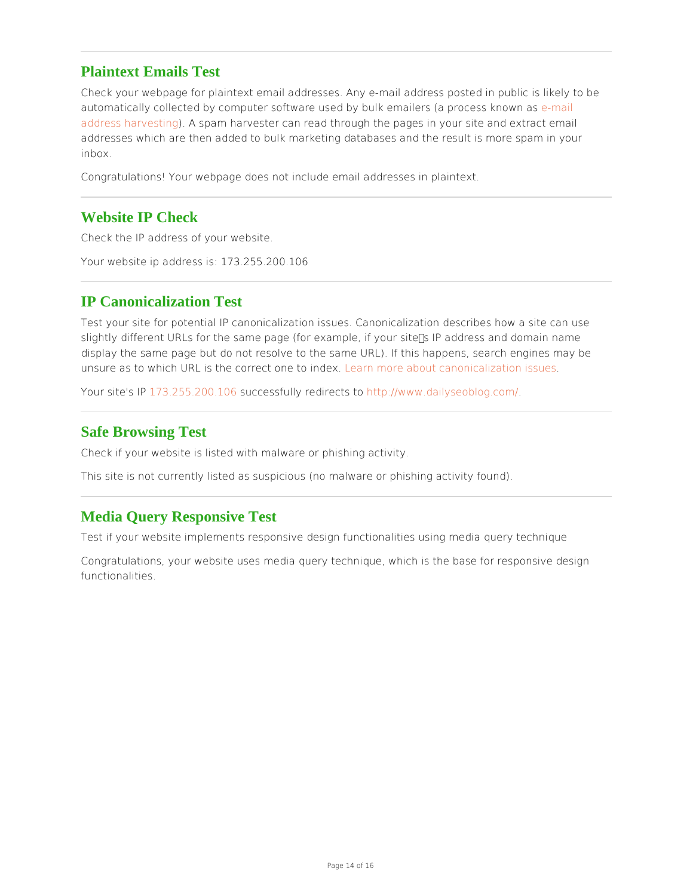#### Plaintext Emails Test

Check your webpage for plaintext email addresses. Any e-mail address posted in pu automatically collected by computer software used by bulk emaidemsai(la process know [address harve](http://en.wikipedia.org/wiki/E-mail_address_harvesting)sting pam harvester can read through the pages in your site and extract addresses which are then added to bulk marketing databases and the result is more inbox.

Congratulations! Your webpage does not include email addresses in plaintext.

#### Website IP Check

Check the IP address of your website.

Your website ip address is: 173.255.200.106

## IP Canonicalization Test

Test your site for potential IP canonicalization issues. Canonicalization describes h slightly different URLs for the same page (for example, if your site's IP address and display the same page but do not resolve to the same URL). If this happens, search unsure as to which URL is the corredteane to indexout canonicalization issues

Your site'\$713P.255.200.\$06 cessfully redimet cps/towww.dailyseoblog.com/

#### Safe Browsing Test

Check if your website is listed with malware or phishing activity.

This site is not currently listed as suspicious (no malware or phishing activity found

#### Media Query Responsive Test

Test if your website implements responsive design functionalities using media query

Congratulations, your website uses media query technique, which is the base for res functionalities.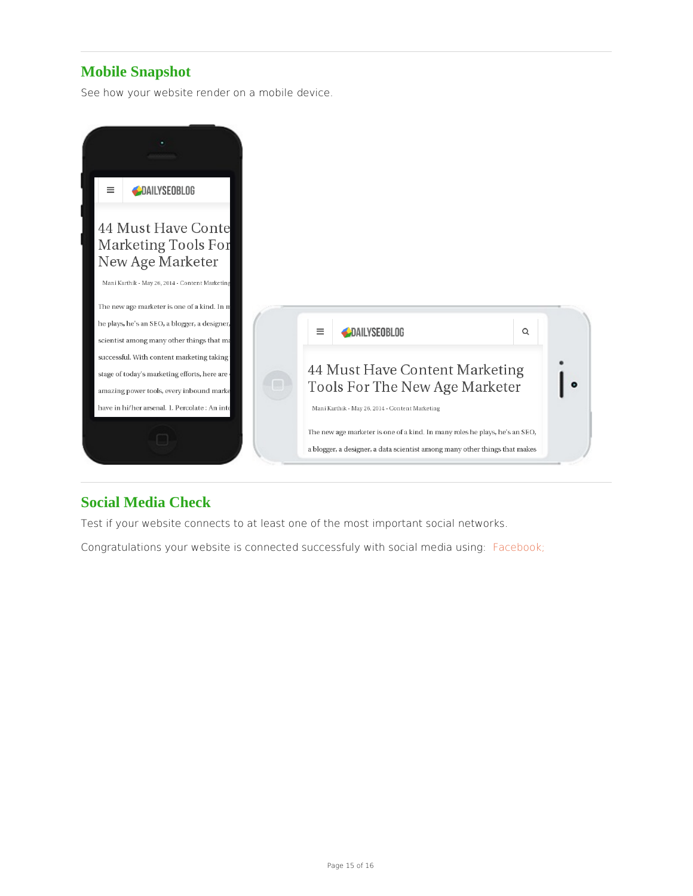# Mobile Snapshot

See how your website render on a mobile device.

## Social Media Check

Test if your website connects to at least one of the most important social networks. Congratulations your website is connected successfuly wi*f*f a cse ocal a imaging: